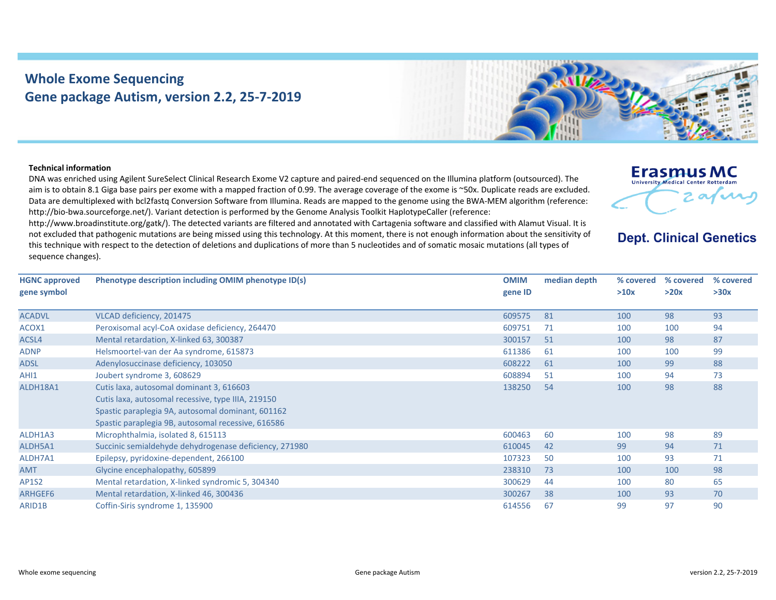## **Whole Exome Sequencing Gene package Autism, version 2.2, 25‐7‐2019**



## **Technical information**

DNA was enriched using Agilent SureSelect Clinical Research Exome V2 capture and paired‐end sequenced on the Illumina platform (outsourced). The aim is to obtain 8.1 Giga base pairs per exome with <sup>a</sup> mapped fraction of 0.99. The average coverage of the exome is ~50x. Duplicate reads are excluded. Data are demultiplexed with bcl2fastq Conversion Software from Illumina. Reads are mapped to the genome using the BWA‐MEM algorithm (reference: http://bio‐bwa.sourceforge.net/). Variant detection is performed by the Genome Analysis Toolkit HaplotypeCaller (reference:

http://www.broadinstitute.org/gatk/). The detected variants are filtered and annotated with Cartagenia software and classified with Alamut Visual. It is not excluded that pathogenic mutations are being missed using this technology. At this moment, there is not enough information about the sensitivity of this technique with respect to the detection of deletions and duplications of more than 5 nucleotides and of somatic mosaic mutations (all types of sequence changes).



## **Dept. Clinical Genetics**

| <b>HGNC approved</b><br>gene symbol | Phenotype description including OMIM phenotype ID(s)   | <b>OMIM</b><br>gene ID | median depth | % covered<br>>10x | % covered<br>>20x | % covered<br>>30x |
|-------------------------------------|--------------------------------------------------------|------------------------|--------------|-------------------|-------------------|-------------------|
|                                     |                                                        |                        |              |                   |                   |                   |
| <b>ACADVL</b>                       | VLCAD deficiency, 201475                               | 609575                 | 81           | 100               | 98                | 93                |
| ACOX1                               | Peroxisomal acyl-CoA oxidase deficiency, 264470        | 609751                 | 71           | 100               | 100               | 94                |
| ACSL4                               | Mental retardation, X-linked 63, 300387                | 300157                 | 51           | 100               | 98                | 87                |
| <b>ADNP</b>                         | Helsmoortel-van der Aa syndrome, 615873                | 611386                 | 61           | 100               | 100               | 99                |
| <b>ADSL</b>                         | Adenylosuccinase deficiency, 103050                    | 608222                 | 61           | 100               | 99                | 88                |
| AHI1                                | Joubert syndrome 3, 608629                             | 608894                 | 51           | 100               | 94                | 73                |
| ALDH18A1                            | Cutis laxa, autosomal dominant 3, 616603               | 138250                 | 54           | 100               | 98                | 88                |
|                                     | Cutis laxa, autosomal recessive, type IIIA, 219150     |                        |              |                   |                   |                   |
|                                     | Spastic paraplegia 9A, autosomal dominant, 601162      |                        |              |                   |                   |                   |
|                                     | Spastic paraplegia 9B, autosomal recessive, 616586     |                        |              |                   |                   |                   |
| ALDH1A3                             | Microphthalmia, isolated 8, 615113                     | 600463                 | 60           | 100               | 98                | 89                |
| ALDH5A1                             | Succinic semialdehyde dehydrogenase deficiency, 271980 | 610045                 | 42           | 99                | 94                | 71                |
| ALDH7A1                             | Epilepsy, pyridoxine-dependent, 266100                 | 107323                 | 50           | 100               | 93                | 71                |
| <b>AMT</b>                          | Glycine encephalopathy, 605899                         | 238310                 | 73           | 100               | 100               | 98                |
| AP1S2                               | Mental retardation, X-linked syndromic 5, 304340       | 300629                 | 44           | 100               | 80                | 65                |
| ARHGEF6                             | Mental retardation, X-linked 46, 300436                | 300267                 | 38           | 100               | 93                | 70                |
| ARID1B                              | Coffin-Siris syndrome 1, 135900                        | 614556                 | 67           | 99                | 97                | 90                |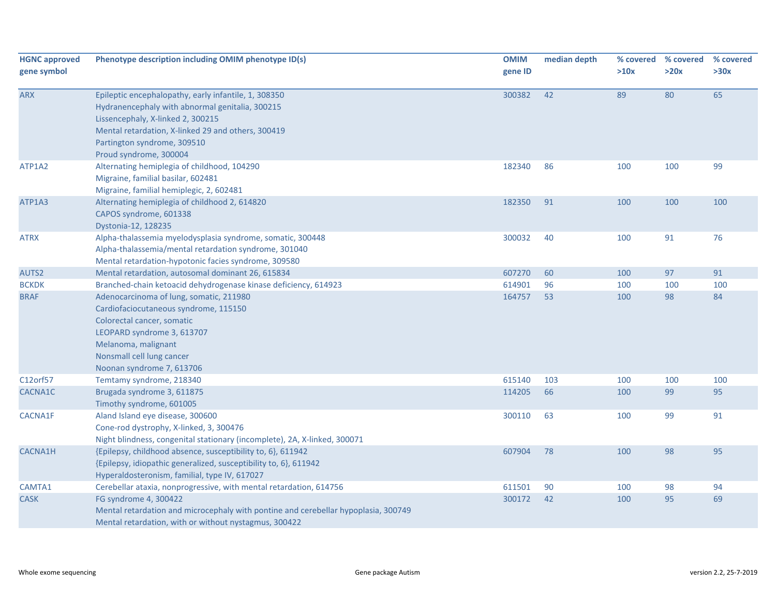| <b>HGNC approved</b><br>gene symbol | Phenotype description including OMIM phenotype ID(s)                                                                                                                                                                                                        | <b>OMIM</b><br>gene ID | median depth | % covered<br>>10x | % covered<br>>20x | % covered<br>>30x |
|-------------------------------------|-------------------------------------------------------------------------------------------------------------------------------------------------------------------------------------------------------------------------------------------------------------|------------------------|--------------|-------------------|-------------------|-------------------|
| <b>ARX</b>                          | Epileptic encephalopathy, early infantile, 1, 308350<br>Hydranencephaly with abnormal genitalia, 300215<br>Lissencephaly, X-linked 2, 300215<br>Mental retardation, X-linked 29 and others, 300419<br>Partington syndrome, 309510<br>Proud syndrome, 300004 | 300382                 | 42           | 89                | 80                | 65                |
| ATP1A2                              | Alternating hemiplegia of childhood, 104290<br>Migraine, familial basilar, 602481<br>Migraine, familial hemiplegic, 2, 602481                                                                                                                               | 182340                 | 86           | 100               | 100               | 99                |
| ATP1A3                              | Alternating hemiplegia of childhood 2, 614820<br>CAPOS syndrome, 601338<br>Dystonia-12, 128235                                                                                                                                                              | 182350                 | 91           | 100               | 100               | 100               |
| <b>ATRX</b>                         | Alpha-thalassemia myelodysplasia syndrome, somatic, 300448<br>Alpha-thalassemia/mental retardation syndrome, 301040<br>Mental retardation-hypotonic facies syndrome, 309580                                                                                 | 300032                 | 40           | 100               | 91                | 76                |
| AUTS2                               | Mental retardation, autosomal dominant 26, 615834                                                                                                                                                                                                           | 607270                 | 60           | 100               | 97                | 91                |
| <b>BCKDK</b>                        | Branched-chain ketoacid dehydrogenase kinase deficiency, 614923                                                                                                                                                                                             | 614901                 | 96           | 100               | 100               | 100               |
| <b>BRAF</b>                         | Adenocarcinoma of lung, somatic, 211980<br>Cardiofaciocutaneous syndrome, 115150<br>Colorectal cancer, somatic<br>LEOPARD syndrome 3, 613707<br>Melanoma, malignant<br>Nonsmall cell lung cancer<br>Noonan syndrome 7, 613706                               | 164757                 | 53           | 100               | 98                | 84                |
| C12orf57                            | Temtamy syndrome, 218340                                                                                                                                                                                                                                    | 615140                 | 103          | 100               | 100               | 100               |
| CACNA1C                             | Brugada syndrome 3, 611875<br>Timothy syndrome, 601005                                                                                                                                                                                                      | 114205                 | 66           | 100               | 99                | 95                |
| <b>CACNA1F</b>                      | Aland Island eye disease, 300600<br>Cone-rod dystrophy, X-linked, 3, 300476<br>Night blindness, congenital stationary (incomplete), 2A, X-linked, 300071                                                                                                    | 300110                 | 63           | 100               | 99                | 91                |
| <b>CACNA1H</b>                      | {Epilepsy, childhood absence, susceptibility to, 6}, 611942<br>{Epilepsy, idiopathic generalized, susceptibility to, 6}, 611942<br>Hyperaldosteronism, familial, type IV, 617027                                                                            | 607904                 | 78           | 100               | 98                | 95                |
| CAMTA1                              | Cerebellar ataxia, nonprogressive, with mental retardation, 614756                                                                                                                                                                                          | 611501                 | 90           | 100               | 98                | 94                |
| <b>CASK</b>                         | FG syndrome 4, 300422<br>Mental retardation and microcephaly with pontine and cerebellar hypoplasia, 300749<br>Mental retardation, with or without nystagmus, 300422                                                                                        | 300172                 | 42           | 100               | 95                | 69                |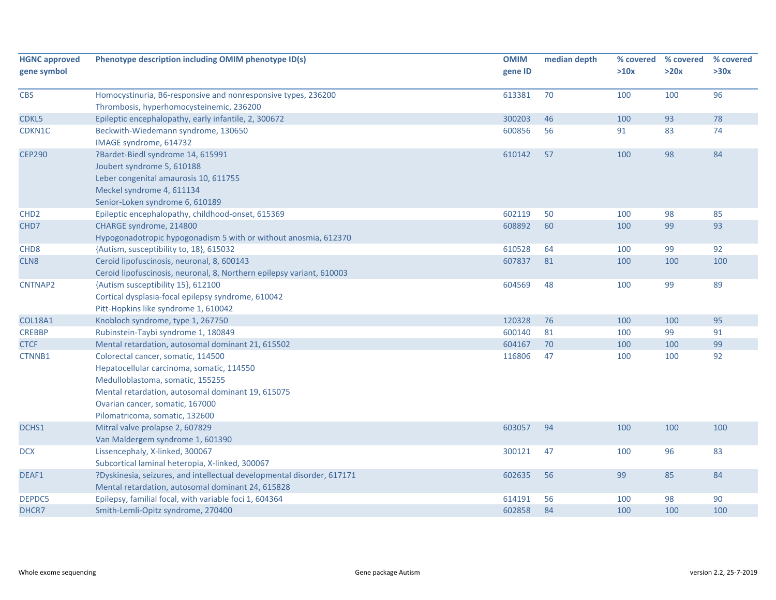| <b>HGNC approved</b> | Phenotype description including OMIM phenotype ID(s)                                                                                                                                                                                          | <b>OMIM</b> | median depth | % covered | % covered | % covered |
|----------------------|-----------------------------------------------------------------------------------------------------------------------------------------------------------------------------------------------------------------------------------------------|-------------|--------------|-----------|-----------|-----------|
| gene symbol          |                                                                                                                                                                                                                                               | gene ID     |              | >10x      | >20x      | >30x      |
| <b>CBS</b>           | Homocystinuria, B6-responsive and nonresponsive types, 236200<br>Thrombosis, hyperhomocysteinemic, 236200                                                                                                                                     | 613381      | 70           | 100       | 100       | 96        |
| CDKL5                | Epileptic encephalopathy, early infantile, 2, 300672                                                                                                                                                                                          | 300203      | 46           | 100       | 93        | 78        |
| CDKN1C               | Beckwith-Wiedemann syndrome, 130650<br>IMAGE syndrome, 614732                                                                                                                                                                                 | 600856      | 56           | 91        | 83        | 74        |
| <b>CEP290</b>        | ?Bardet-Biedl syndrome 14, 615991<br>Joubert syndrome 5, 610188<br>Leber congenital amaurosis 10, 611755<br>Meckel syndrome 4, 611134<br>Senior-Loken syndrome 6, 610189                                                                      | 610142      | 57           | 100       | 98        | 84        |
| CHD <sub>2</sub>     | Epileptic encephalopathy, childhood-onset, 615369                                                                                                                                                                                             | 602119      | 50           | 100       | 98        | 85        |
| CHD7                 | CHARGE syndrome, 214800<br>Hypogonadotropic hypogonadism 5 with or without anosmia, 612370                                                                                                                                                    | 608892      | 60           | 100       | 99        | 93        |
| CHD <sub>8</sub>     | {Autism, susceptibility to, 18}, 615032                                                                                                                                                                                                       | 610528      | 64           | 100       | 99        | 92        |
| CLN <sub>8</sub>     | Ceroid lipofuscinosis, neuronal, 8, 600143<br>Ceroid lipofuscinosis, neuronal, 8, Northern epilepsy variant, 610003                                                                                                                           | 607837      | 81           | 100       | 100       | 100       |
| CNTNAP2              | {Autism susceptibility 15}, 612100<br>Cortical dysplasia-focal epilepsy syndrome, 610042<br>Pitt-Hopkins like syndrome 1, 610042                                                                                                              | 604569      | 48           | 100       | 99        | 89        |
| <b>COL18A1</b>       | Knobloch syndrome, type 1, 267750                                                                                                                                                                                                             | 120328      | 76           | 100       | 100       | 95        |
| <b>CREBBP</b>        | Rubinstein-Taybi syndrome 1, 180849                                                                                                                                                                                                           | 600140      | 81           | 100       | 99        | 91        |
| <b>CTCF</b>          | Mental retardation, autosomal dominant 21, 615502                                                                                                                                                                                             | 604167      | 70           | 100       | 100       | 99        |
| CTNNB1               | Colorectal cancer, somatic, 114500<br>Hepatocellular carcinoma, somatic, 114550<br>Medulloblastoma, somatic, 155255<br>Mental retardation, autosomal dominant 19, 615075<br>Ovarian cancer, somatic, 167000<br>Pilomatricoma, somatic, 132600 | 116806      | 47           | 100       | 100       | 92        |
| DCHS1                | Mitral valve prolapse 2, 607829<br>Van Maldergem syndrome 1, 601390                                                                                                                                                                           | 603057      | 94           | 100       | 100       | 100       |
| <b>DCX</b>           | Lissencephaly, X-linked, 300067<br>Subcortical laminal heteropia, X-linked, 300067                                                                                                                                                            | 300121      | 47           | 100       | 96        | 83        |
| DEAF1                | ?Dyskinesia, seizures, and intellectual developmental disorder, 617171<br>Mental retardation, autosomal dominant 24, 615828                                                                                                                   | 602635      | 56           | 99        | 85        | 84        |
| DEPDC5               | Epilepsy, familial focal, with variable foci 1, 604364                                                                                                                                                                                        | 614191      | 56           | 100       | 98        | 90        |
| DHCR7                | Smith-Lemli-Opitz syndrome, 270400                                                                                                                                                                                                            | 602858      | 84           | 100       | 100       | 100       |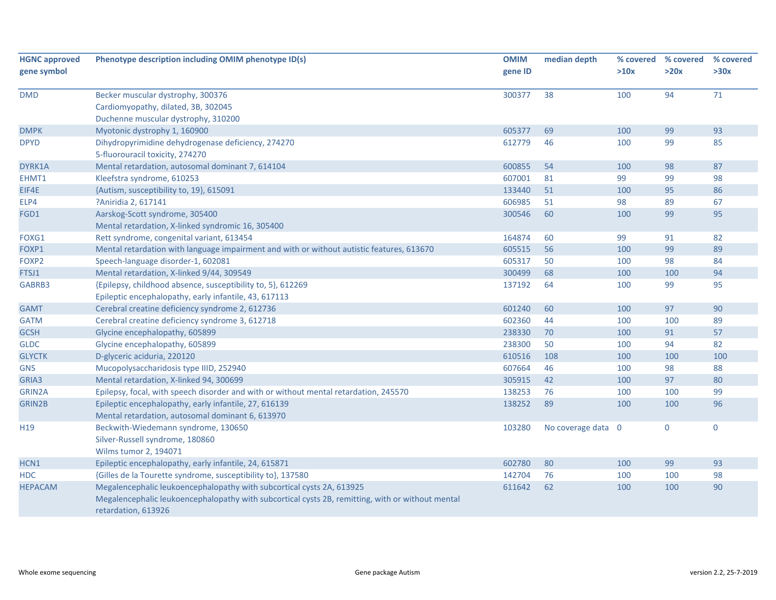| <b>HGNC approved</b> | Phenotype description including OMIM phenotype ID(s)                                                                    | <b>OMIM</b> | median depth       | % covered | % covered    | % covered   |
|----------------------|-------------------------------------------------------------------------------------------------------------------------|-------------|--------------------|-----------|--------------|-------------|
| gene symbol          |                                                                                                                         | gene ID     |                    | >10x      | >20x         | >30x        |
| <b>DMD</b>           | Becker muscular dystrophy, 300376                                                                                       | 300377      | 38                 | 100       | 94           | 71          |
|                      | Cardiomyopathy, dilated, 3B, 302045                                                                                     |             |                    |           |              |             |
|                      | Duchenne muscular dystrophy, 310200                                                                                     |             |                    |           |              |             |
| <b>DMPK</b>          | Myotonic dystrophy 1, 160900                                                                                            | 605377      | 69                 | 100       | 99           | 93          |
| <b>DPYD</b>          | Dihydropyrimidine dehydrogenase deficiency, 274270                                                                      | 612779      | 46                 | 100       | 99           | 85          |
|                      | 5-fluorouracil toxicity, 274270                                                                                         |             |                    |           |              |             |
| DYRK1A               | Mental retardation, autosomal dominant 7, 614104                                                                        | 600855      | 54                 | 100       | 98           | 87          |
| EHMT1                | Kleefstra syndrome, 610253                                                                                              | 607001      | 81                 | 99        | 99           | 98          |
| EIF4E                | {Autism, susceptibility to, 19}, 615091                                                                                 | 133440      | 51                 | 100       | 95           | 86          |
| ELP4                 | ?Aniridia 2, 617141                                                                                                     | 606985      | 51                 | 98        | 89           | 67          |
| FGD1                 | Aarskog-Scott syndrome, 305400                                                                                          | 300546      | 60                 | 100       | 99           | 95          |
|                      | Mental retardation, X-linked syndromic 16, 305400                                                                       |             |                    |           |              |             |
| FOXG1                | Rett syndrome, congenital variant, 613454                                                                               | 164874      | 60                 | 99        | 91           | 82          |
| FOXP1                | Mental retardation with language impairment and with or without autistic features, 613670                               | 605515      | 56                 | 100       | 99           | 89          |
| FOXP2                | Speech-language disorder-1, 602081                                                                                      | 605317      | 50                 | 100       | 98           | 84          |
| FTSJ1                | Mental retardation, X-linked 9/44, 309549                                                                               | 300499      | 68                 | 100       | 100          | 94          |
| GABRB3               | {Epilepsy, childhood absence, susceptibility to, 5}, 612269                                                             | 137192      | 64                 | 100       | 99           | 95          |
|                      | Epileptic encephalopathy, early infantile, 43, 617113                                                                   |             |                    |           |              |             |
| <b>GAMT</b>          | Cerebral creatine deficiency syndrome 2, 612736                                                                         | 601240      | 60                 | 100       | 97           | 90          |
| <b>GATM</b>          | Cerebral creatine deficiency syndrome 3, 612718                                                                         | 602360      | 44                 | 100       | 100          | 89          |
| <b>GCSH</b>          | Glycine encephalopathy, 605899                                                                                          | 238330      | 70                 | 100       | 91           | 57          |
| <b>GLDC</b>          | Glycine encephalopathy, 605899                                                                                          | 238300      | 50                 | 100       | 94           | 82          |
| <b>GLYCTK</b>        | D-glyceric aciduria, 220120                                                                                             | 610516      | 108                | 100       | 100          | 100         |
| <b>GNS</b>           | Mucopolysaccharidosis type IIID, 252940                                                                                 | 607664      | 46                 | 100       | 98           | 88          |
| GRIA3                | Mental retardation, X-linked 94, 300699                                                                                 | 305915      | 42                 | 100       | 97           | 80          |
| GRIN2A               | Epilepsy, focal, with speech disorder and with or without mental retardation, 245570                                    | 138253      | 76                 | 100       | 100          | 99          |
| GRIN2B               | Epileptic encephalopathy, early infantile, 27, 616139                                                                   | 138252      | 89                 | 100       | 100          | 96          |
|                      | Mental retardation, autosomal dominant 6, 613970                                                                        |             |                    |           |              |             |
| H <sub>19</sub>      | Beckwith-Wiedemann syndrome, 130650                                                                                     | 103280      | No coverage data 0 |           | $\mathbf{0}$ | $\mathbf 0$ |
|                      | Silver-Russell syndrome, 180860                                                                                         |             |                    |           |              |             |
|                      | Wilms tumor 2, 194071                                                                                                   |             |                    |           |              |             |
| HCN1                 | Epileptic encephalopathy, early infantile, 24, 615871                                                                   | 602780      | 80                 | 100       | 99           | 93          |
| <b>HDC</b>           | {Gilles de la Tourette syndrome, susceptibility to}, 137580                                                             | 142704      | 76                 | 100       | 100          | 98          |
| <b>HEPACAM</b>       | Megalencephalic leukoencephalopathy with subcortical cysts 2A, 613925                                                   | 611642      | 62                 | 100       | 100          | 90          |
|                      | Megalencephalic leukoencephalopathy with subcortical cysts 2B, remitting, with or without mental<br>retardation, 613926 |             |                    |           |              |             |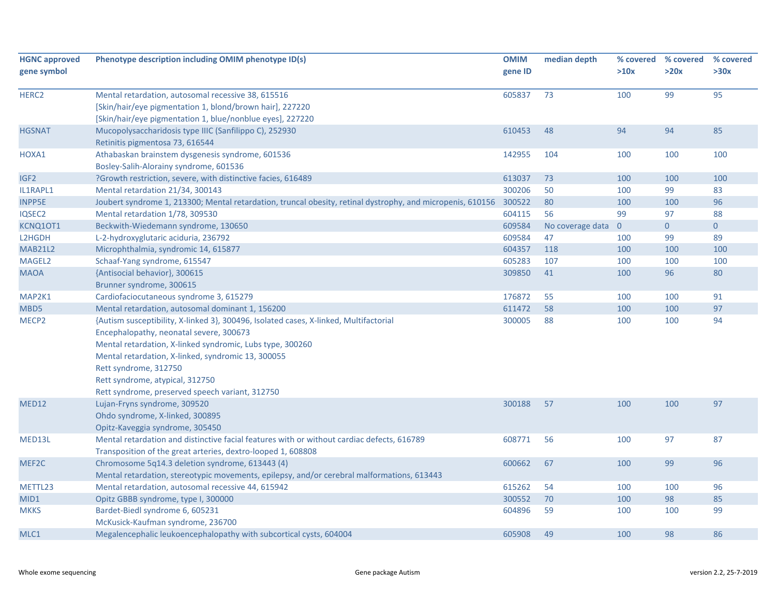| <b>HGNC</b> approved | Phenotype description including OMIM phenotype ID(s)                                                       | <b>OMIM</b> | median depth     | % covered      | % covered      | % covered   |
|----------------------|------------------------------------------------------------------------------------------------------------|-------------|------------------|----------------|----------------|-------------|
| gene symbol          |                                                                                                            | gene ID     |                  | >10x           | >20x           | >30x        |
| HERC <sub>2</sub>    | Mental retardation, autosomal recessive 38, 615516                                                         | 605837      | 73               | 100            | 99             | 95          |
|                      | [Skin/hair/eye pigmentation 1, blond/brown hair], 227220                                                   |             |                  |                |                |             |
|                      | [Skin/hair/eye pigmentation 1, blue/nonblue eyes], 227220                                                  |             |                  |                |                |             |
| <b>HGSNAT</b>        | Mucopolysaccharidosis type IIIC (Sanfilippo C), 252930                                                     | 610453      | 48               | 94             | 94             | 85          |
|                      | Retinitis pigmentosa 73, 616544                                                                            |             |                  |                |                |             |
| HOXA1                | Athabaskan brainstem dysgenesis syndrome, 601536                                                           | 142955      | 104              | 100            | 100            | 100         |
|                      | Bosley-Salih-Alorainy syndrome, 601536                                                                     |             |                  |                |                |             |
| IGF <sub>2</sub>     | ?Growth restriction, severe, with distinctive facies, 616489                                               | 613037      | 73               | 100            | 100            | 100         |
| IL1RAPL1             | Mental retardation 21/34, 300143                                                                           | 300206      | 50               | 100            | 99             | 83          |
| <b>INPP5E</b>        | Joubert syndrome 1, 213300; Mental retardation, truncal obesity, retinal dystrophy, and micropenis, 610156 | 300522      | 80               | 100            | 100            | 96          |
| IQSEC2               | Mental retardation 1/78, 309530                                                                            | 604115      | 56               | 99             | 97             | 88          |
| KCNQ10T1             | Beckwith-Wiedemann syndrome, 130650                                                                        | 609584      | No coverage data | $\overline{0}$ | $\overline{0}$ | $\mathbf 0$ |
| L2HGDH               | L-2-hydroxyglutaric aciduria, 236792                                                                       | 609584      | 47               | 100            | 99             | 89          |
| <b>MAB21L2</b>       | Microphthalmia, syndromic 14, 615877                                                                       | 604357      | 118              | 100            | 100            | 100         |
| MAGEL2               | Schaaf-Yang syndrome, 615547                                                                               | 605283      | 107              | 100            | 100            | 100         |
| <b>MAOA</b>          | {Antisocial behavior}, 300615                                                                              | 309850      | 41               | 100            | 96             | 80          |
|                      | Brunner syndrome, 300615                                                                                   |             |                  |                |                |             |
| MAP2K1               | Cardiofaciocutaneous syndrome 3, 615279                                                                    | 176872      | 55               | 100            | 100            | 91          |
| MBD5                 | Mental retardation, autosomal dominant 1, 156200                                                           | 611472      | 58               | 100            | 100            | 97          |
| MECP <sub>2</sub>    | {Autism susceptibility, X-linked 3}, 300496, Isolated cases, X-linked, Multifactorial                      | 300005      | 88               | 100            | 100            | 94          |
|                      | Encephalopathy, neonatal severe, 300673                                                                    |             |                  |                |                |             |
|                      | Mental retardation, X-linked syndromic, Lubs type, 300260                                                  |             |                  |                |                |             |
|                      | Mental retardation, X-linked, syndromic 13, 300055                                                         |             |                  |                |                |             |
|                      | Rett syndrome, 312750                                                                                      |             |                  |                |                |             |
|                      | Rett syndrome, atypical, 312750                                                                            |             |                  |                |                |             |
|                      | Rett syndrome, preserved speech variant, 312750                                                            |             |                  |                |                |             |
| <b>MED12</b>         | Lujan-Fryns syndrome, 309520                                                                               | 300188      | 57               | 100            | 100            | 97          |
|                      | Ohdo syndrome, X-linked, 300895                                                                            |             |                  |                |                |             |
|                      | Opitz-Kaveggia syndrome, 305450                                                                            |             |                  |                |                |             |
| MED13L               | Mental retardation and distinctive facial features with or without cardiac defects, 616789                 | 608771      | 56               | 100            | 97             | 87          |
|                      | Transposition of the great arteries, dextro-looped 1, 608808                                               |             |                  |                |                |             |
| MEF2C                | Chromosome 5q14.3 deletion syndrome, 613443 (4)                                                            | 600662      | 67               | 100            | 99             | 96          |
|                      | Mental retardation, stereotypic movements, epilepsy, and/or cerebral malformations, 613443                 |             |                  |                |                |             |
| METTL23              | Mental retardation, autosomal recessive 44, 615942                                                         | 615262      | 54               | 100            | 100            | 96          |
| MID1                 | Opitz GBBB syndrome, type I, 300000                                                                        | 300552      | 70               | 100            | 98             | 85          |
| <b>MKKS</b>          | Bardet-Biedl syndrome 6, 605231                                                                            | 604896      | 59               | 100            | 100            | 99          |
|                      | McKusick-Kaufman syndrome, 236700                                                                          |             |                  |                |                |             |
| MLC1                 | Megalencephalic leukoencephalopathy with subcortical cysts, 604004                                         | 605908      | 49               | 100            | 98             | 86          |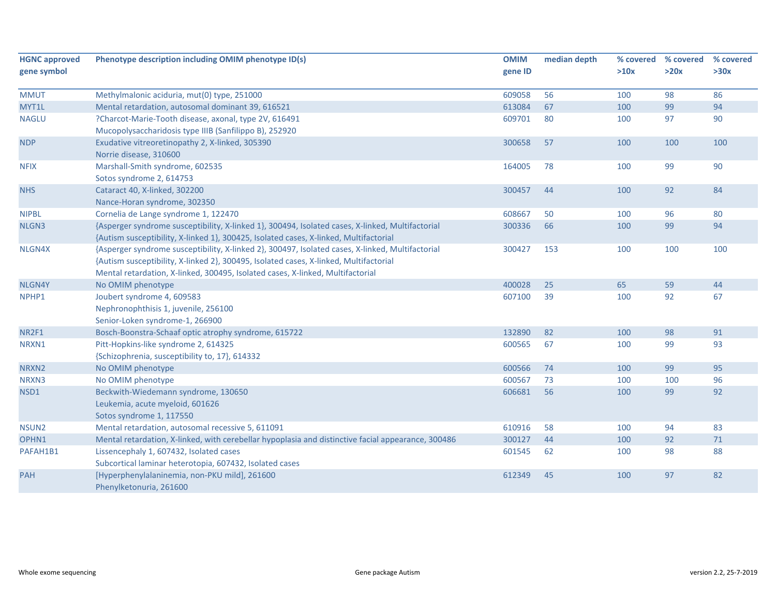| <b>HGNC approved</b> | Phenotype description including OMIM phenotype ID(s)                                                                                                                                                                                                                        | <b>OMIM</b> | median depth | % covered | % covered | % covered |
|----------------------|-----------------------------------------------------------------------------------------------------------------------------------------------------------------------------------------------------------------------------------------------------------------------------|-------------|--------------|-----------|-----------|-----------|
| gene symbol          |                                                                                                                                                                                                                                                                             | gene ID     |              | >10x      | >20x      | >30x      |
| <b>MMUT</b>          | Methylmalonic aciduria, mut(0) type, 251000                                                                                                                                                                                                                                 | 609058      | 56           | 100       | 98        | 86        |
| MYT1L                | Mental retardation, autosomal dominant 39, 616521                                                                                                                                                                                                                           | 613084      | 67           | 100       | 99        | 94        |
| <b>NAGLU</b>         | ?Charcot-Marie-Tooth disease, axonal, type 2V, 616491<br>Mucopolysaccharidosis type IIIB (Sanfilippo B), 252920                                                                                                                                                             | 609701      | 80           | 100       | 97        | 90        |
| <b>NDP</b>           | Exudative vitreoretinopathy 2, X-linked, 305390<br>Norrie disease, 310600                                                                                                                                                                                                   | 300658      | 57           | 100       | 100       | 100       |
| <b>NFIX</b>          | Marshall-Smith syndrome, 602535<br>Sotos syndrome 2, 614753                                                                                                                                                                                                                 | 164005      | 78           | 100       | 99        | 90        |
| <b>NHS</b>           | Cataract 40, X-linked, 302200<br>Nance-Horan syndrome, 302350                                                                                                                                                                                                               | 300457      | 44           | 100       | 92        | 84        |
| <b>NIPBL</b>         | Cornelia de Lange syndrome 1, 122470                                                                                                                                                                                                                                        | 608667      | 50           | 100       | 96        | 80        |
| NLGN3                | {Asperger syndrome susceptibility, X-linked 1}, 300494, Isolated cases, X-linked, Multifactorial<br>{Autism susceptibility, X-linked 1}, 300425, Isolated cases, X-linked, Multifactorial                                                                                   | 300336      | 66           | 100       | 99        | 94        |
| NLGN4X               | {Asperger syndrome susceptibility, X-linked 2}, 300497, Isolated cases, X-linked, Multifactorial<br>{Autism susceptibility, X-linked 2}, 300495, Isolated cases, X-linked, Multifactorial<br>Mental retardation, X-linked, 300495, Isolated cases, X-linked, Multifactorial | 300427      | 153          | 100       | 100       | 100       |
| NLGN4Y               | No OMIM phenotype                                                                                                                                                                                                                                                           | 400028      | 25           | 65        | 59        | 44        |
| NPHP1                | Joubert syndrome 4, 609583<br>Nephronophthisis 1, juvenile, 256100<br>Senior-Loken syndrome-1, 266900                                                                                                                                                                       | 607100      | 39           | 100       | 92        | 67        |
| NR2F1                | Bosch-Boonstra-Schaaf optic atrophy syndrome, 615722                                                                                                                                                                                                                        | 132890      | 82           | 100       | 98        | 91        |
| NRXN1                | Pitt-Hopkins-like syndrome 2, 614325<br>{Schizophrenia, susceptibility to, 17}, 614332                                                                                                                                                                                      | 600565      | 67           | 100       | 99        | 93        |
| NRXN2                | No OMIM phenotype                                                                                                                                                                                                                                                           | 600566      | 74           | 100       | 99        | 95        |
| NRXN3                | No OMIM phenotype                                                                                                                                                                                                                                                           | 600567      | 73           | 100       | 100       | 96        |
| NSD1                 | Beckwith-Wiedemann syndrome, 130650<br>Leukemia, acute myeloid, 601626<br>Sotos syndrome 1, 117550                                                                                                                                                                          | 606681      | 56           | 100       | 99        | 92        |
| NSUN <sub>2</sub>    | Mental retardation, autosomal recessive 5, 611091                                                                                                                                                                                                                           | 610916      | 58           | 100       | 94        | 83        |
| OPHN1                | Mental retardation, X-linked, with cerebellar hypoplasia and distinctive facial appearance, 300486                                                                                                                                                                          | 300127      | 44           | 100       | 92        | $71\,$    |
| PAFAH1B1             | Lissencephaly 1, 607432, Isolated cases<br>Subcortical laminar heterotopia, 607432, Isolated cases                                                                                                                                                                          | 601545      | 62           | 100       | 98        | 88        |
| <b>PAH</b>           | [Hyperphenylalaninemia, non-PKU mild], 261600<br>Phenylketonuria, 261600                                                                                                                                                                                                    | 612349      | 45           | 100       | 97        | 82        |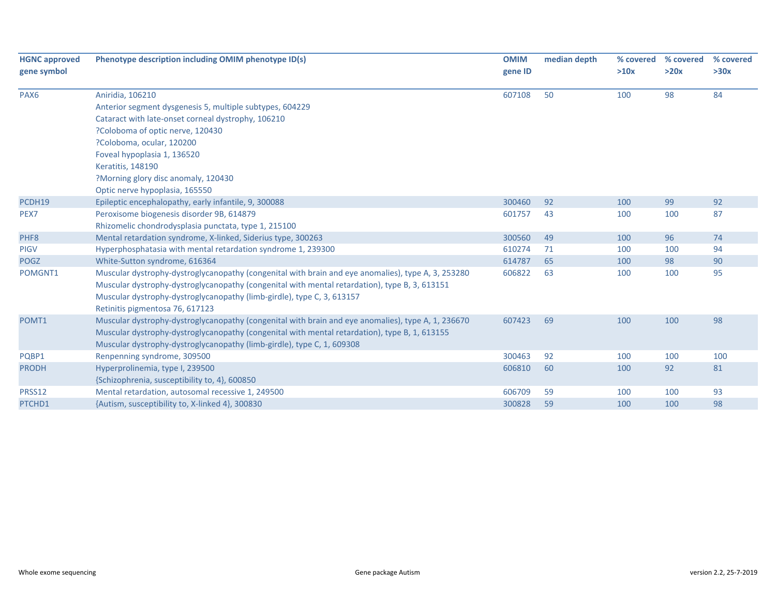| <b>HGNC approved</b> | Phenotype description including OMIM phenotype ID(s)                                               | <b>OMIM</b> | median depth | % covered | % covered                                  | % covered |
|----------------------|----------------------------------------------------------------------------------------------------|-------------|--------------|-----------|--------------------------------------------|-----------|
| gene symbol          |                                                                                                    | gene ID     |              | >10x      | >20x                                       | >30x      |
| PAX <sub>6</sub>     | Aniridia, 106210                                                                                   | 607108      | 50           | 100       | 98                                         | 84        |
|                      | Anterior segment dysgenesis 5, multiple subtypes, 604229                                           |             |              |           | 99<br>100<br>96<br>100<br>98<br>100<br>100 |           |
|                      | Cataract with late-onset corneal dystrophy, 106210                                                 |             |              |           |                                            |           |
|                      | ?Coloboma of optic nerve, 120430                                                                   |             |              |           |                                            |           |
|                      | ?Coloboma, ocular, 120200                                                                          |             |              |           |                                            |           |
|                      | Foveal hypoplasia 1, 136520                                                                        |             |              |           |                                            |           |
|                      | Keratitis, 148190                                                                                  |             |              |           |                                            |           |
|                      | ?Morning glory disc anomaly, 120430                                                                |             |              |           |                                            |           |
|                      | Optic nerve hypoplasia, 165550                                                                     |             |              |           |                                            |           |
| PCDH19               | Epileptic encephalopathy, early infantile, 9, 300088                                               | 300460      | 92           | 100       |                                            | 92        |
| PEX7                 | Peroxisome biogenesis disorder 9B, 614879                                                          | 601757      | 43           | 100       |                                            | 87        |
|                      | Rhizomelic chondrodysplasia punctata, type 1, 215100                                               |             |              |           |                                            |           |
| PHF8                 | Mental retardation syndrome, X-linked, Siderius type, 300263                                       | 300560      | 49           | 100       |                                            | 74        |
| <b>PIGV</b>          | Hyperphosphatasia with mental retardation syndrome 1, 239300                                       | 610274      | 71           | 100       |                                            | 94        |
| <b>POGZ</b>          | White-Sutton syndrome, 616364                                                                      | 614787      | 65           | 100       |                                            | 90        |
| POMGNT1              | Muscular dystrophy-dystroglycanopathy (congenital with brain and eye anomalies), type A, 3, 253280 | 606822      | 63           | 100       |                                            | 95        |
|                      | Muscular dystrophy-dystroglycanopathy (congenital with mental retardation), type B, 3, 613151      |             |              |           |                                            |           |
|                      | Muscular dystrophy-dystroglycanopathy (limb-girdle), type C, 3, 613157                             |             |              |           |                                            |           |
|                      | Retinitis pigmentosa 76, 617123                                                                    |             |              |           |                                            |           |
| POMT1                | Muscular dystrophy-dystroglycanopathy (congenital with brain and eye anomalies), type A, 1, 236670 | 607423      | 69           | 100       |                                            | 98        |
|                      | Muscular dystrophy-dystroglycanopathy (congenital with mental retardation), type B, 1, 613155      |             |              |           |                                            |           |
|                      | Muscular dystrophy-dystroglycanopathy (limb-girdle), type C, 1, 609308                             |             |              |           |                                            |           |
| PQBP1                | Renpenning syndrome, 309500                                                                        | 300463      | 92           | 100       | 100                                        | 100       |
| <b>PRODH</b>         | Hyperprolinemia, type I, 239500                                                                    | 606810      | 60           | 100       | 92                                         | 81        |
|                      | {Schizophrenia, susceptibility to, 4}, 600850                                                      |             |              |           |                                            |           |
| PRSS12               | Mental retardation, autosomal recessive 1, 249500                                                  | 606709      | 59           | 100       | 100                                        | 93        |
| PTCHD1               | {Autism, susceptibility to, X-linked 4}, 300830                                                    | 300828      | 59           | 100       | 100                                        | 98        |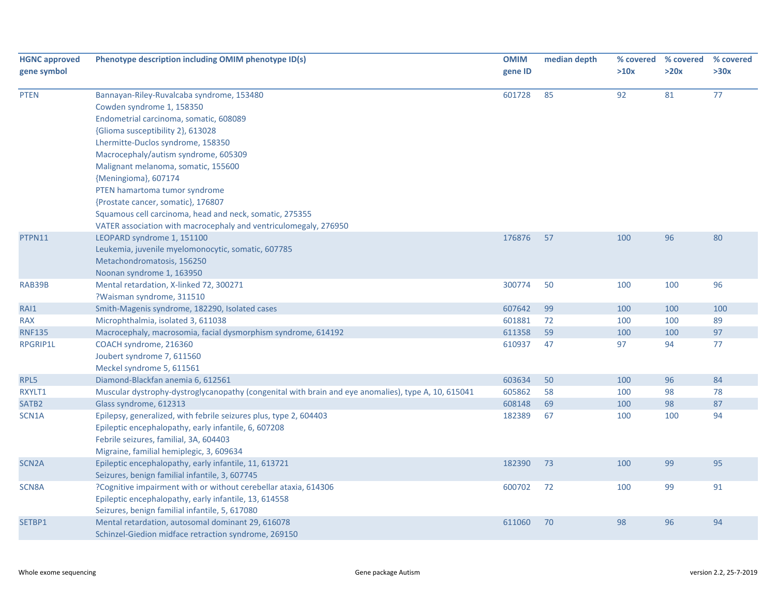| <b>HGNC approved</b> | Phenotype description including OMIM phenotype ID(s)                                                | <b>OMIM</b> | median depth |      | % covered % covered | % covered |
|----------------------|-----------------------------------------------------------------------------------------------------|-------------|--------------|------|---------------------|-----------|
| gene symbol          |                                                                                                     | gene ID     |              | >10x | >20x                | >30x      |
| <b>PTEN</b>          | Bannayan-Riley-Ruvalcaba syndrome, 153480                                                           | 601728      | 85           | 92   | 81                  | 77        |
|                      | Cowden syndrome 1, 158350                                                                           |             |              |      |                     |           |
|                      | Endometrial carcinoma, somatic, 608089                                                              |             |              |      |                     |           |
|                      | {Glioma susceptibility 2}, 613028                                                                   |             |              |      |                     |           |
|                      | Lhermitte-Duclos syndrome, 158350                                                                   |             |              |      |                     |           |
|                      | Macrocephaly/autism syndrome, 605309                                                                |             |              |      |                     |           |
|                      | Malignant melanoma, somatic, 155600                                                                 |             |              |      |                     |           |
|                      | {Meningioma}, 607174                                                                                |             |              |      |                     |           |
|                      | PTEN hamartoma tumor syndrome                                                                       |             |              |      |                     |           |
|                      | {Prostate cancer, somatic}, 176807                                                                  |             |              |      |                     |           |
|                      | Squamous cell carcinoma, head and neck, somatic, 275355                                             |             |              |      |                     |           |
|                      | VATER association with macrocephaly and ventriculomegaly, 276950                                    |             |              |      |                     |           |
| PTPN11               | LEOPARD syndrome 1, 151100                                                                          | 176876      | 57           | 100  | 96                  | 80        |
|                      | Leukemia, juvenile myelomonocytic, somatic, 607785                                                  |             |              |      |                     |           |
|                      | Metachondromatosis, 156250                                                                          |             |              |      |                     |           |
|                      | Noonan syndrome 1, 163950                                                                           |             |              |      |                     |           |
| RAB39B               | Mental retardation, X-linked 72, 300271                                                             | 300774      | 50           | 100  | 100                 | 96        |
|                      | ?Waisman syndrome, 311510                                                                           |             |              |      |                     |           |
| RAI1                 | Smith-Magenis syndrome, 182290, Isolated cases                                                      | 607642      | 99           | 100  | 100                 | 100       |
| <b>RAX</b>           | Microphthalmia, isolated 3, 611038                                                                  | 601881      | 72           | 100  | 100                 | 89        |
| <b>RNF135</b>        | Macrocephaly, macrosomia, facial dysmorphism syndrome, 614192                                       | 611358      | 59           | 100  | 100                 | 97        |
| RPGRIP1L             | COACH syndrome, 216360                                                                              | 610937      | 47           | 97   | 94                  | 77        |
|                      | Joubert syndrome 7, 611560                                                                          |             |              |      |                     |           |
|                      | Meckel syndrome 5, 611561                                                                           |             |              |      |                     |           |
| RPL5                 | Diamond-Blackfan anemia 6, 612561                                                                   | 603634      | 50           | 100  | 96                  | 84        |
| RXYLT1               | Muscular dystrophy-dystroglycanopathy (congenital with brain and eye anomalies), type A, 10, 615041 | 605862      | 58           | 100  | 98                  | 78        |
| SATB <sub>2</sub>    | Glass syndrome, 612313                                                                              | 608148      | 69           | 100  | 98                  | 87        |
| SCN1A                | Epilepsy, generalized, with febrile seizures plus, type 2, 604403                                   | 182389      | 67           | 100  | 100                 | 94        |
|                      | Epileptic encephalopathy, early infantile, 6, 607208                                                |             |              |      |                     |           |
|                      | Febrile seizures, familial, 3A, 604403                                                              |             |              |      |                     |           |
|                      | Migraine, familial hemiplegic, 3, 609634                                                            |             |              |      |                     |           |
| SCN <sub>2</sub> A   | Epileptic encephalopathy, early infantile, 11, 613721                                               | 182390      | 73           | 100  | 99                  | 95        |
|                      | Seizures, benign familial infantile, 3, 607745                                                      |             |              |      |                     |           |
| SCN8A                | ?Cognitive impairment with or without cerebellar ataxia, 614306                                     | 600702      | 72           | 100  | 99                  | 91        |
|                      | Epileptic encephalopathy, early infantile, 13, 614558                                               |             |              |      |                     |           |
|                      | Seizures, benign familial infantile, 5, 617080                                                      |             |              |      |                     |           |
| SETBP1               | Mental retardation, autosomal dominant 29, 616078                                                   | 611060      | 70           | 98   | 96                  | 94        |
|                      | Schinzel-Giedion midface retraction syndrome, 269150                                                |             |              |      |                     |           |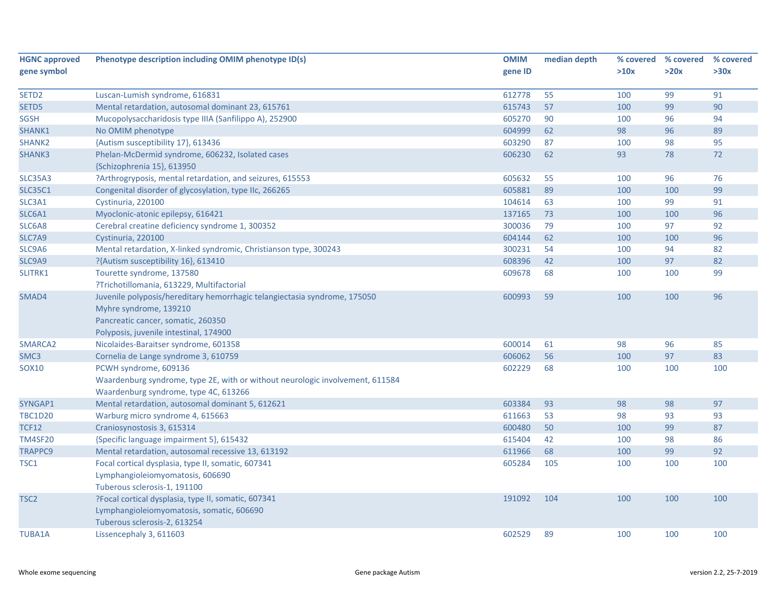| <b>HGNC approved</b> | Phenotype description including OMIM phenotype ID(s)                          | <b>OMIM</b> | median depth | % covered | % covered | % covered |
|----------------------|-------------------------------------------------------------------------------|-------------|--------------|-----------|-----------|-----------|
| gene symbol          |                                                                               | gene ID     |              | >10x      | >20x      | >30x      |
|                      |                                                                               |             |              |           |           |           |
| SETD <sub>2</sub>    | Luscan-Lumish syndrome, 616831                                                | 612778      | 55           | 100       | 99        | 91        |
| SETD5                | Mental retardation, autosomal dominant 23, 615761                             | 615743      | 57           | 100       | 99        | 90        |
| SGSH                 | Mucopolysaccharidosis type IIIA (Sanfilippo A), 252900                        | 605270      | 90           | 100       | 96        | 94        |
| SHANK1               | No OMIM phenotype                                                             | 604999      | 62           | 98        | 96        | 89        |
| SHANK <sub>2</sub>   | {Autism susceptibility 17}, 613436                                            | 603290      | 87           | 100       | 98        | 95        |
| <b>SHANK3</b>        | Phelan-McDermid syndrome, 606232, Isolated cases                              | 606230      | 62           | 93        | 78        | 72        |
|                      | {Schizophrenia 15}, 613950                                                    |             |              |           |           |           |
| <b>SLC35A3</b>       | ?Arthrogryposis, mental retardation, and seizures, 615553                     | 605632      | 55           | 100       | 96        | 76        |
| <b>SLC35C1</b>       | Congenital disorder of glycosylation, type IIc, 266265                        | 605881      | 89           | 100       | 100       | 99        |
| SLC3A1               | Cystinuria, 220100                                                            | 104614      | 63           | 100       | 99        | 91        |
| SLC6A1               | Myoclonic-atonic epilepsy, 616421                                             | 137165      | 73           | 100       | 100       | 96        |
| SLC6A8               | Cerebral creatine deficiency syndrome 1, 300352                               | 300036      | 79           | 100       | 97        | 92        |
| SLC7A9               | Cystinuria, 220100                                                            | 604144      | 62           | 100       | 100       | 96        |
| SLC9A6               | Mental retardation, X-linked syndromic, Christianson type, 300243             | 300231      | 54           | 100       | 94        | 82        |
| SLC9A9               | ?{Autism susceptibility 16}, 613410                                           | 608396      | 42           | 100       | 97        | 82        |
| SLITRK1              | Tourette syndrome, 137580                                                     | 609678      | 68           | 100       | 100       | 99        |
|                      | ?Trichotillomania, 613229, Multifactorial                                     |             |              |           |           |           |
| SMAD4                | Juvenile polyposis/hereditary hemorrhagic telangiectasia syndrome, 175050     | 600993      | 59           | 100       | 100       | 96        |
|                      | Myhre syndrome, 139210                                                        |             |              |           |           |           |
|                      | Pancreatic cancer, somatic, 260350                                            |             |              |           |           |           |
|                      | Polyposis, juvenile intestinal, 174900                                        |             |              |           |           |           |
| SMARCA2              | Nicolaides-Baraitser syndrome, 601358                                         | 600014      | 61           | 98        | 96        | 85        |
| SMC3                 | Cornelia de Lange syndrome 3, 610759                                          | 606062      | 56           | 100       | 97        | 83        |
| SOX10                | PCWH syndrome, 609136                                                         | 602229      | 68           | 100       | 100       | 100       |
|                      | Waardenburg syndrome, type 2E, with or without neurologic involvement, 611584 |             |              |           |           |           |
|                      | Waardenburg syndrome, type 4C, 613266                                         |             |              |           |           |           |
| SYNGAP1              | Mental retardation, autosomal dominant 5, 612621                              | 603384      | 93           | 98        | 98        | 97        |
| <b>TBC1D20</b>       | Warburg micro syndrome 4, 615663                                              | 611663      | 53           | 98        | 93        | 93        |
| <b>TCF12</b>         | Craniosynostosis 3, 615314                                                    | 600480      | 50           | 100       | 99        | 87        |
| <b>TM4SF20</b>       | {Specific language impairment 5}, 615432                                      | 615404      | 42           | 100       | 98        | 86        |
| <b>TRAPPC9</b>       | Mental retardation, autosomal recessive 13, 613192                            | 611966      | 68           | 100       | 99        | 92        |
| TSC1                 | Focal cortical dysplasia, type II, somatic, 607341                            | 605284      | 105          | 100       | 100       | 100       |
|                      | Lymphangioleiomyomatosis, 606690                                              |             |              |           |           |           |
|                      | Tuberous sclerosis-1, 191100                                                  |             |              |           |           |           |
| TSC <sub>2</sub>     | ?Focal cortical dysplasia, type II, somatic, 607341                           | 191092      | 104          | 100       | 100       | 100       |
|                      | Lymphangioleiomyomatosis, somatic, 606690                                     |             |              |           |           |           |
|                      | Tuberous sclerosis-2, 613254                                                  |             |              |           |           |           |
| <b>TUBA1A</b>        | Lissencephaly 3, 611603                                                       | 602529      | 89           | 100       | 100       | 100       |